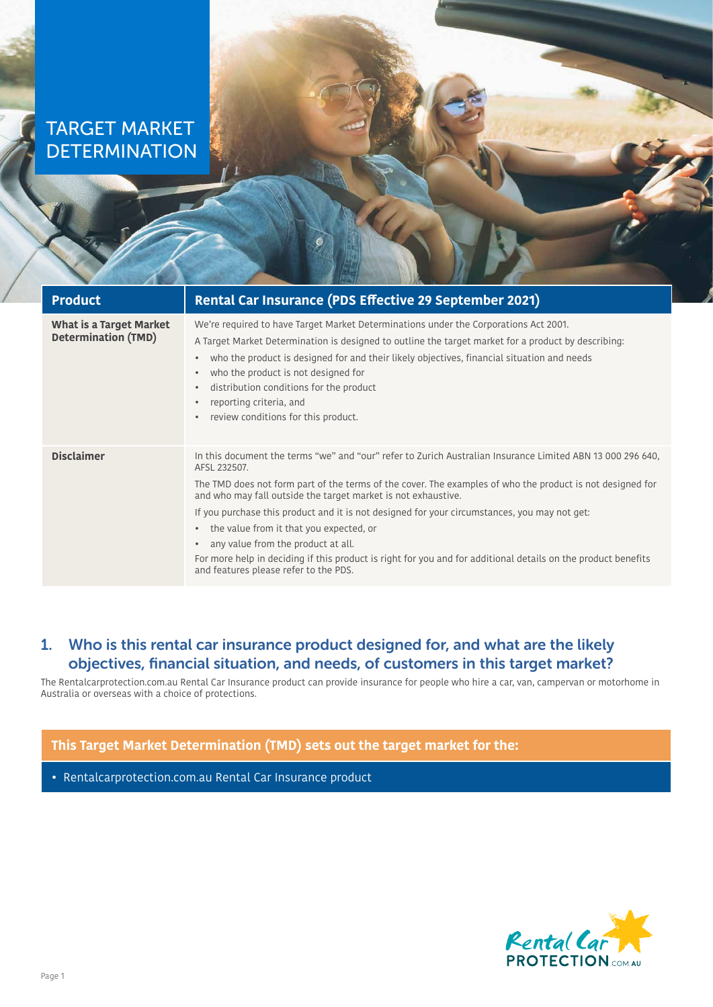# TARGET MARKET **DETERMINATION**

| <b>Product</b>                                               | Rental Car Insurance (PDS Effective 29 September 2021)                                                                                                                                                                                                                                                                                                                                                                                                                                                                                                                                                                                                                        |
|--------------------------------------------------------------|-------------------------------------------------------------------------------------------------------------------------------------------------------------------------------------------------------------------------------------------------------------------------------------------------------------------------------------------------------------------------------------------------------------------------------------------------------------------------------------------------------------------------------------------------------------------------------------------------------------------------------------------------------------------------------|
| <b>What is a Target Market</b><br><b>Determination (TMD)</b> | We're required to have Target Market Determinations under the Corporations Act 2001.<br>A Target Market Determination is designed to outline the target market for a product by describing:<br>who the product is designed for and their likely objectives, financial situation and needs<br>$\bullet$<br>who the product is not designed for<br>$\bullet$<br>distribution conditions for the product<br>$\bullet$<br>reporting criteria, and<br>review conditions for this product.<br>$\bullet$                                                                                                                                                                             |
| <b>Disclaimer</b>                                            | In this document the terms "we" and "our" refer to Zurich Australian Insurance Limited ABN 13 000 296 640,<br>AFSL 232507.<br>The TMD does not form part of the terms of the cover. The examples of who the product is not designed for<br>and who may fall outside the target market is not exhaustive.<br>If you purchase this product and it is not designed for your circumstances, you may not get:<br>the value from it that you expected, or<br>$\bullet$<br>any value from the product at all.<br>$\bullet$<br>For more help in deciding if this product is right for you and for additional details on the product benefits<br>and features please refer to the PDS. |

## 1. Who is this rental car insurance product designed for, and what are the likely objectives, financial situation, and needs, of customers in this target market?

The Rentalcarprotection.com.au Rental Car Insurance product can provide insurance for people who hire a car, van, campervan or motorhome in Australia or overseas with a choice of protections.

## **This Target Market Determination (TMD) sets out the target market for the:**

• Rentalcarprotection.com.au Rental Car Insurance product

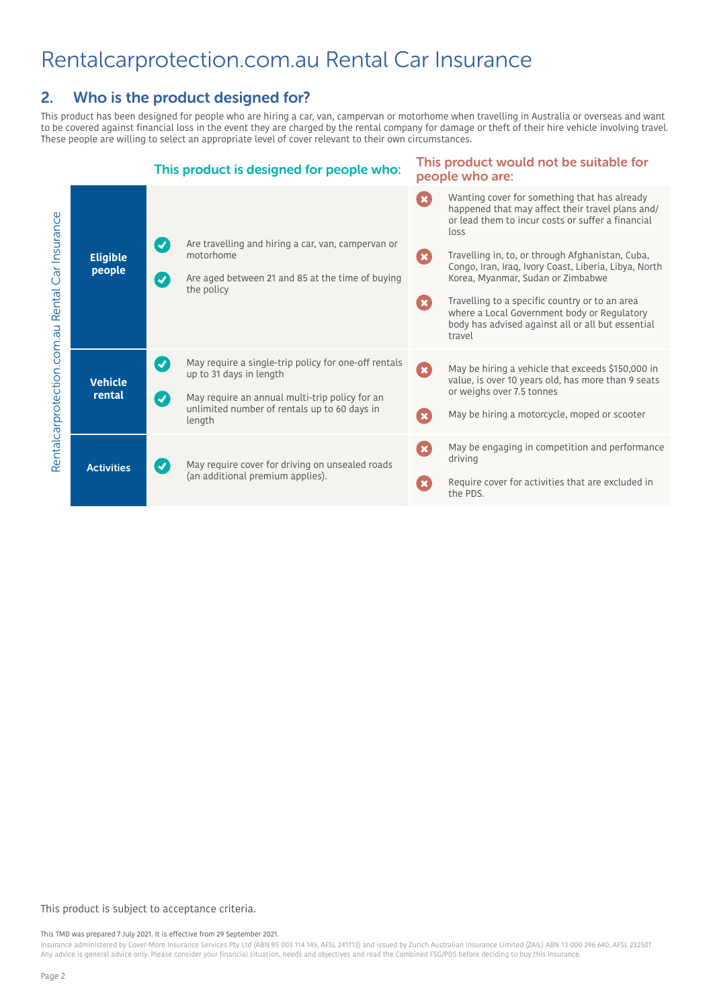# Rentalcarprotection.com.au Rental Car Insurance

## 2. Who is the product designed for?

This product has been designed for people who are hiring a car, van, campervan or motorhome when travelling in Australia or overseas and want to be covered against financial loss in the event they are charged by the rental company for damage or theft of their hire vehicle involving travel. These people are willing to select an appropriate level of cover relevant to their own circumstances.



### This product is subject to acceptance criteria.

#### This TMD was prepared 7 July 2021. It is effective from 29 September 2021.

Insurance administered by Cover-More Insurance Services Pty Ltd (ABN 95 003 114 145, AFSL 241713) and issued by Zurich Australian Insurance Limited (ZAIL) ABN 13 000 296 640, AFSL 232507. Any advice is general advice only. Please consider your financial situation, needs and objectives and read the Combined FSG/PDS before deciding to buy this insurance.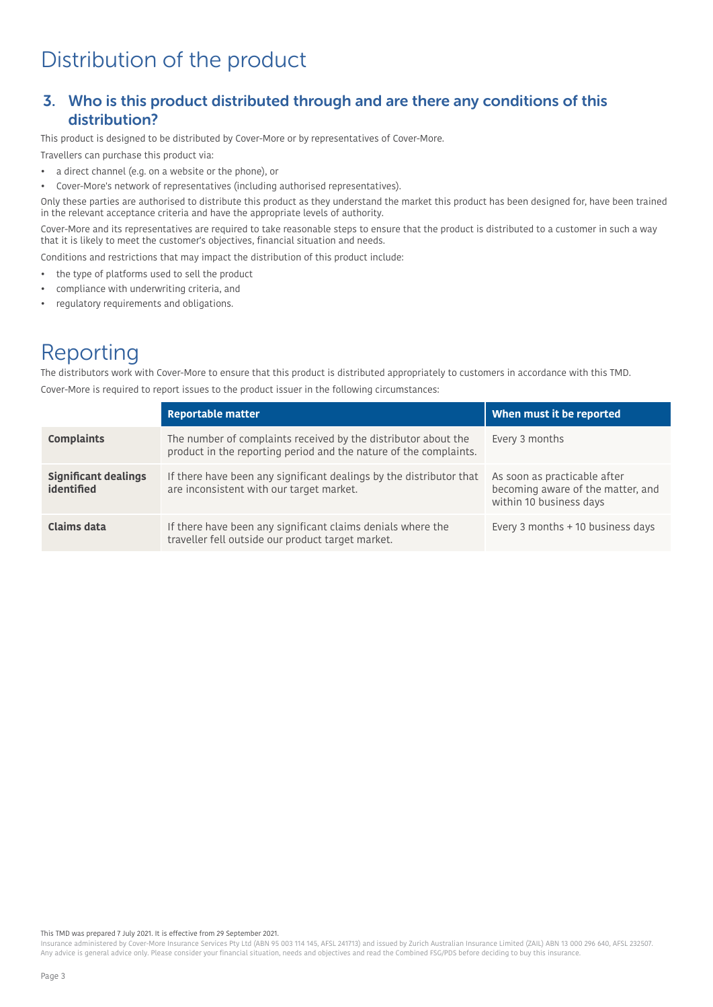# Distribution of the product

### 3. Who is this product distributed through and are there any conditions of this distribution?

This product is designed to be distributed by Cover-More or by representatives of Cover-More.

Travellers can purchase this product via:

- a direct channel (e.g. on a website or the phone), or
- Cover-More's network of representatives (including authorised representatives).

Only these parties are authorised to distribute this product as they understand the market this product has been designed for, have been trained in the relevant acceptance criteria and have the appropriate levels of authority.

Cover-More and its representatives are required to take reasonable steps to ensure that the product is distributed to a customer in such a way that it is likely to meet the customer's objectives, financial situation and needs.

Conditions and restrictions that may impact the distribution of this product include:

- the type of platforms used to sell the product
- compliance with underwriting criteria, and
- regulatory requirements and obligations.

# Reporting

The distributors work with Cover-More to ensure that this product is distributed appropriately to customers in accordance with this TMD. Cover-More is required to report issues to the product issuer in the following circumstances:

|                                           | Reportable matter                                                                                                                   | When must it be reported                                                                     |
|-------------------------------------------|-------------------------------------------------------------------------------------------------------------------------------------|----------------------------------------------------------------------------------------------|
| <b>Complaints</b>                         | The number of complaints received by the distributor about the<br>product in the reporting period and the nature of the complaints. | Every 3 months                                                                               |
| <b>Significant dealings</b><br>identified | If there have been any significant dealings by the distributor that<br>are inconsistent with our target market.                     | As soon as practicable after<br>becoming aware of the matter, and<br>within 10 business days |
| Claims data                               | If there have been any significant claims denials where the<br>traveller fell outside our product target market.                    | Every 3 months + 10 business days                                                            |

#### This TMD was prepared 7 July 2021. It is effective from 29 September 2021.

Insurance administered by Cover-More Insurance Services Pty Ltd (ABN 95 003 114 145, AFSL 241713) and issued by Zurich Australian Insurance Limited (ZAIL) ABN 13 000 296 640, AFSL 232507. Any advice is general advice only. Please consider your financial situation, needs and objectives and read the Combined FSG/PDS before deciding to buy this insurance.